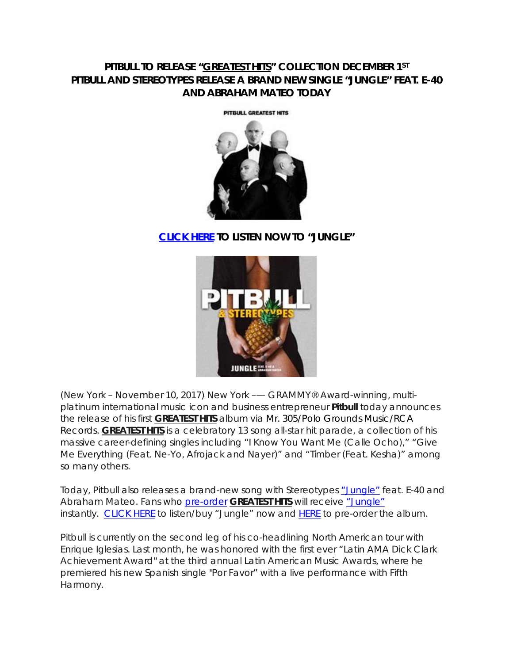# **PITBULL TO RELEASE "***GREATEST HITS***" COLLECTION DECEMBER 1ST PITBULL AND STEREOTYPES RELEASE A BRAND NEW SINGLE "JUNGLE" FEAT. E-40 AND ABRAHAM MATEO TODAY**

PITBULL GREATEST HITS



# **[CLICK HERE](http://smarturl.it/pjungle) TO LISTEN NOW TO "JUNGLE"**



(New York – November 10, 2017) New York –— GRAMMY® Award-winning, multiplatinum international music icon and business entrepreneur **Pitbull** today announces the release of his first *GREATEST HITS* album via Mr. 305/Polo Grounds Music/RCA Records. *GREATEST HITS* is a celebratory 13 song all-star hit parade, a collection of his massive career-defining singles including "I Know You Want Me (Calle Ocho)," "Give Me Everything (Feat. Ne-Yo, Afrojack and Nayer)" and "Timber (Feat. Kesha)" among so many others.

Today, Pitbull also releases a brand-new song with Stereotypes ["Jungle"](http://smarturl.it/pjungle) feat. E-40 and Abraham Mateo. Fans who [pre-order](http://smarturl.it/pgh) *GREATEST HITS* will receive ["Jungle"](http://smarturl.it/pjungle) instantly. [CLICK HERE](http://smarturl.it/pjungle) to listen/buy "Jungle" now and [HERE](http://smarturl.it/pgh) to pre-order the album.

Pitbull is currently on the second leg of his co-headlining North American tour with Enrique Iglesias. Last month, he was honored with the first ever "Latin AMA Dick Clark Achievement Award" at the third annual Latin American Music Awards, where he premiered his new Spanish single "Por Favor" with a live performance with Fifth Harmony.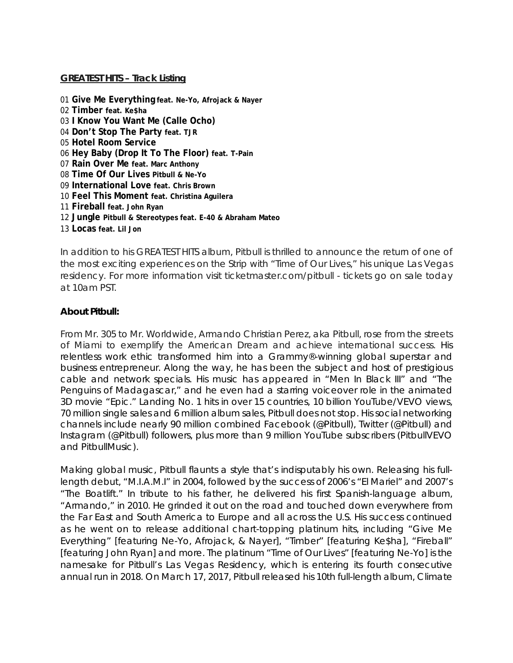### **GREATEST HITS – Track Listing**

 **Give Me Everything feat. Ne-Yo, Afrojack & Nayer Timber feat. Ke\$ha I Know You Want Me (Calle Ocho) Don't Stop The Party feat. TJR Hotel Room Service Hey Baby (Drop It To The Floor) feat. T-Pain Rain Over Me feat. Marc Anthony Time Of Our Lives Pitbull & Ne-Yo International Love feat. Chris Brown Feel This Moment feat. Christina Aguilera Fireball feat. John Ryan Jungle Pitbull & Stereotypes feat. E-40 & Abraham Mateo Locas feat. Lil Jon**

In addition to his GREATEST HITS album, Pitbull is thrilled to announce the return of one of the most exciting experiences on the Strip with "Time of Our Lives," his unique Las Vegas residency. For more information visit ticketmaster.com/pitbull - tickets go on sale today at 10am PST.

## **About Pitbull:**

From Mr. 305 to Mr. Worldwide, Armando Christian Perez, aka Pitbull, rose from the streets of Miami to exemplify the American Dream and achieve international success. His relentless work ethic transformed him into a Grammy®-winning global superstar and business entrepreneur. Along the way, he has been the subject and host of prestigious cable and network specials. His music has appeared in "*Men In Black III"* and "*The Penguins of Madagascar*," and he even had a starring voiceover role in the animated 3D movie "*Epic*." Landing No. 1 hits in over 15 countries, 10 billion YouTube/VEVO views, 70 million single sales and 6 million album sales, Pitbull does not stop. His social networking channels include nearly 90 million combined Facebook (@Pitbull), Twitter (@Pitbull) and Instagram (@Pitbull) followers, plus more than 9 million YouTube subscribers (PitbullVEVO and PitbullMusic).

Making global music, Pitbull flaunts a style that's indisputably his own. Releasing his fulllength debut, "M.I.A.M.I" in 2004, followed by the success of 2006's "El Mariel" and 2007's "The Boatlift." In tribute to his father, he delivered his first Spanish-language album, "Armando," in 2010. He grinded it out on the road and touched down everywhere from the Far East and South America to Europe and all across the U.S. His success continued as he went on to release additional chart-topping platinum hits, including "Give Me Everything" [featuring Ne-Yo, Afrojack, & Nayer], "Timber" [featuring Ke\$ha], "Fireball" [featuring John Ryan] and more. The platinum "Time of Our Lives" [featuring Ne-Yo] is the namesake for Pitbull's Las Vegas Residency, which is entering its fourth consecutive annual run in 2018. On March 17, 2017, Pitbull released his 10th full-length album, *Climate*